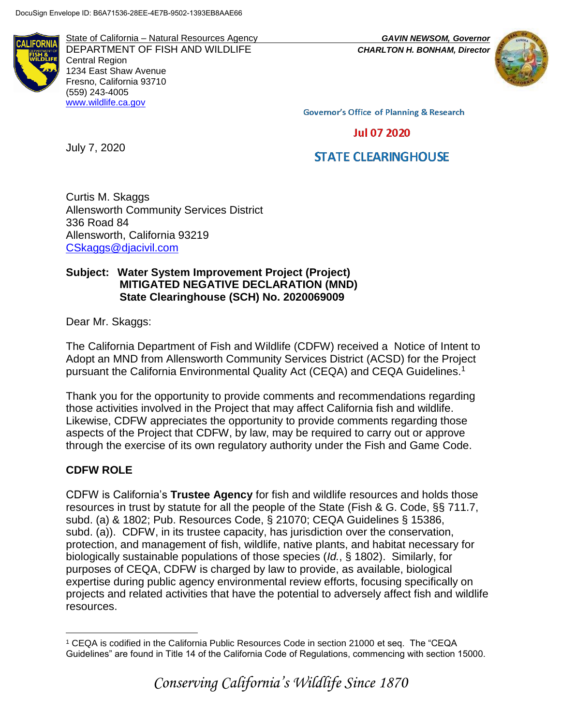

State of California – Natural Resources Agency *GAVIN NEWSOM, Governor* DEPARTMENT OF FISH AND WILDLIFE *CHARLTON H. BONHAM, Director*  Central Region 1234 East Shaw Avenue Fresno, California 93710 (559) 243-4005 [www.wildlife.ca.gov](http://www.wildlife.ca.gov/)



**Governor's Office of Planning & Research** 

**Jul 07 2020** 

# **STATE CLEARINGHOUSE**

Curtis M. Skaggs Allensworth Community Services District 336 Road 84 Allensworth, California 93219 [CSkaggs@djacivil.com](mailto:CSkaggs@djacivil.com)

## **Subject: Water System Improvement Project (Project) MITIGATED NEGATIVE DECLARATION (MND) State Clearinghouse (SCH) No. 2020069009**

Dear Mr. Skaggs:

July 7, 2020

The California Department of Fish and Wildlife (CDFW) received a Notice of Intent to Adopt an MND from Allensworth Community Services District (ACSD) for the Project pursuant the California Environmental Quality Act (CEQA) and CEQA Guidelines.<sup>1</sup>

Thank you for the opportunity to provide comments and recommendations regarding those activities involved in the Project that may affect California fish and wildlife. Likewise, CDFW appreciates the opportunity to provide comments regarding those aspects of the Project that CDFW, by law, may be required to carry out or approve through the exercise of its own regulatory authority under the Fish and Game Code.

# **CDFW ROLE**

CDFW is California's **Trustee Agency** for fish and wildlife resources and holds those resources in trust by statute for all the people of the State (Fish & G. Code, §§ 711.7, subd. (a) & 1802; Pub. Resources Code, § 21070; CEQA Guidelines § 15386, subd. (a)). CDFW, in its trustee capacity, has jurisdiction over the conservation, protection, and management of fish, wildlife, native plants, and habitat necessary for biologically sustainable populations of those species (*Id.*, § 1802). Similarly, for purposes of CEQA, CDFW is charged by law to provide, as available, biological expertise during public agency environmental review efforts, focusing specifically on projects and related activities that have the potential to adversely affect fish and wildlife resources.

 $\overline{a}$ <sup>1</sup> CEQA is codified in the California Public Resources Code in section 21000 et seq. The "CEQA Guidelines" are found in Title 14 of the California Code of Regulations, commencing with section 15000.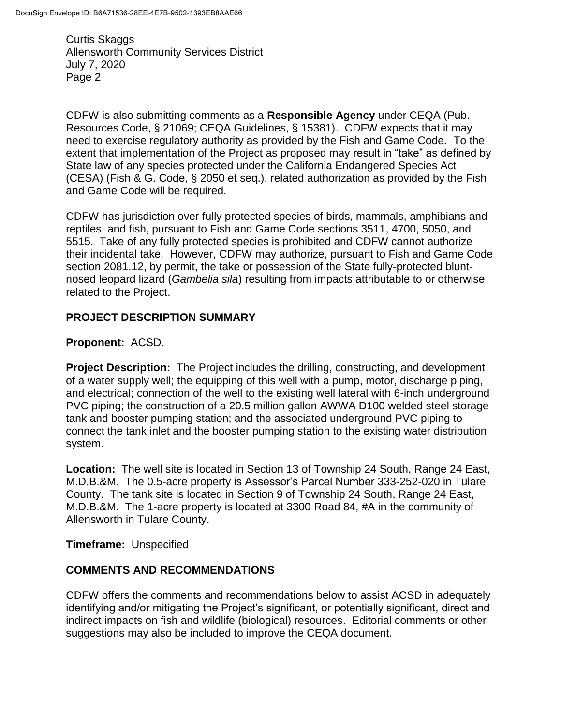CDFW is also submitting comments as a **Responsible Agency** under CEQA (Pub. Resources Code, § 21069; CEQA Guidelines, § 15381). CDFW expects that it may need to exercise regulatory authority as provided by the Fish and Game Code. To the extent that implementation of the Project as proposed may result in "take" as defined by State law of any species protected under the California Endangered Species Act (CESA) (Fish & G. Code, § 2050 et seq.), related authorization as provided by the Fish and Game Code will be required.

CDFW has jurisdiction over fully protected species of birds, mammals, amphibians and reptiles, and fish, pursuant to Fish and Game Code sections 3511, 4700, 5050, and 5515. Take of any fully protected species is prohibited and CDFW cannot authorize their incidental take. However, CDFW may authorize, pursuant to Fish and Game Code section 2081.12, by permit, the take or possession of the State fully-protected bluntnosed leopard lizard (*Gambelia sila*) resulting from impacts attributable to or otherwise related to the Project.

## **PROJECT DESCRIPTION SUMMARY**

#### **Proponent:** ACSD.

**Project Description:** The Project includes the drilling, constructing, and development of a water supply well; the equipping of this well with a pump, motor, discharge piping, and electrical; connection of the well to the existing well lateral with 6-inch underground PVC piping; the construction of a 20.5 million gallon AWWA D100 welded steel storage tank and booster pumping station; and the associated underground PVC piping to connect the tank inlet and the booster pumping station to the existing water distribution system.

**Location:** The well site is located in Section 13 of Township 24 South, Range 24 East, M.D.B.&M. The 0.5-acre property is Assessor's Parcel Number 333-252-020 in Tulare County. The tank site is located in Section 9 of Township 24 South, Range 24 East, M.D.B.&M. The 1-acre property is located at 3300 Road 84, #A in the community of Allensworth in Tulare County.

#### **Timeframe:** Unspecified

# **COMMENTS AND RECOMMENDATIONS**

CDFW offers the comments and recommendations below to assist ACSD in adequately identifying and/or mitigating the Project's significant, or potentially significant, direct and indirect impacts on fish and wildlife (biological) resources. Editorial comments or other suggestions may also be included to improve the CEQA document.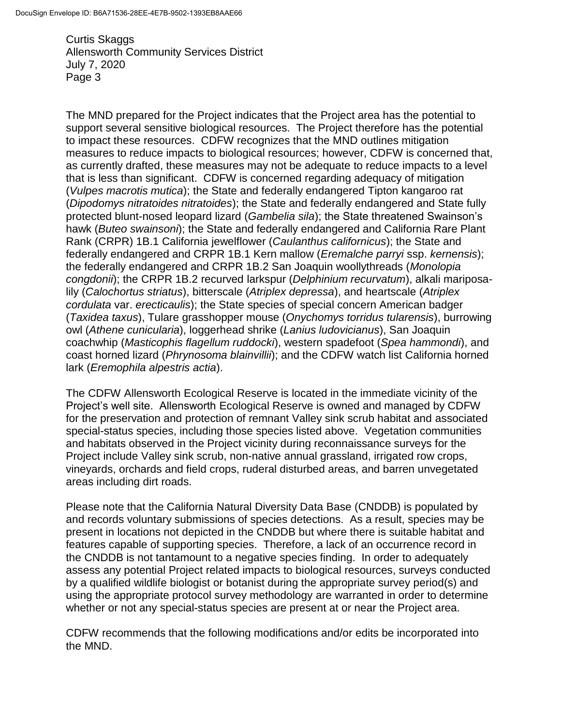The MND prepared for the Project indicates that the Project area has the potential to support several sensitive biological resources. The Project therefore has the potential to impact these resources. CDFW recognizes that the MND outlines mitigation measures to reduce impacts to biological resources; however, CDFW is concerned that, as currently drafted, these measures may not be adequate to reduce impacts to a level that is less than significant. CDFW is concerned regarding adequacy of mitigation (*Vulpes macrotis mutica*); the State and federally endangered Tipton kangaroo rat (*Dipodomys nitratoides nitratoides*); the State and federally endangered and State fully protected blunt-nosed leopard lizard (*Gambelia sila*); the State threatened Swainson's hawk (*Buteo swainsoni*); the State and federally endangered and California Rare Plant Rank (CRPR) 1B.1 California jewelflower (*Caulanthus californicus*); the State and federally endangered and CRPR 1B.1 Kern mallow (*Eremalche parryi* ssp. *kernensis*); the federally endangered and CRPR 1B.2 San Joaquin woollythreads (*Monolopia congdonii*); the CRPR 1B.2 recurved larkspur (*Delphinium recurvatum*), alkali mariposalily (*Calochortus striatus*), bitterscale (*Atriplex depressa*), and heartscale (*Atriplex cordulata* var. *erecticaulis*); the State species of special concern American badger (*Taxidea taxus*), Tulare grasshopper mouse (*Onychomys torridus tularensis*), burrowing owl (*Athene cunicularia*), loggerhead shrike (*Lanius ludovicianus*), San Joaquin coachwhip (*Masticophis flagellum ruddocki*), western spadefoot (*Spea hammondi*), and coast horned lizard (*Phrynosoma blainvillii*); and the CDFW watch list California horned lark (*Eremophila alpestris actia*).

The CDFW Allensworth Ecological Reserve is located in the immediate vicinity of the Project's well site. Allensworth Ecological Reserve is owned and managed by CDFW for the preservation and protection of remnant Valley sink scrub habitat and associated special-status species, including those species listed above. Vegetation communities and habitats observed in the Project vicinity during reconnaissance surveys for the Project include Valley sink scrub, non-native annual grassland, irrigated row crops, vineyards, orchards and field crops, ruderal disturbed areas, and barren unvegetated areas including dirt roads.

Please note that the California Natural Diversity Data Base (CNDDB) is populated by and records voluntary submissions of species detections. As a result, species may be present in locations not depicted in the CNDDB but where there is suitable habitat and features capable of supporting species. Therefore, a lack of an occurrence record in the CNDDB is not tantamount to a negative species finding. In order to adequately assess any potential Project related impacts to biological resources, surveys conducted by a qualified wildlife biologist or botanist during the appropriate survey period(s) and using the appropriate protocol survey methodology are warranted in order to determine whether or not any special-status species are present at or near the Project area.

CDFW recommends that the following modifications and/or edits be incorporated into the MND.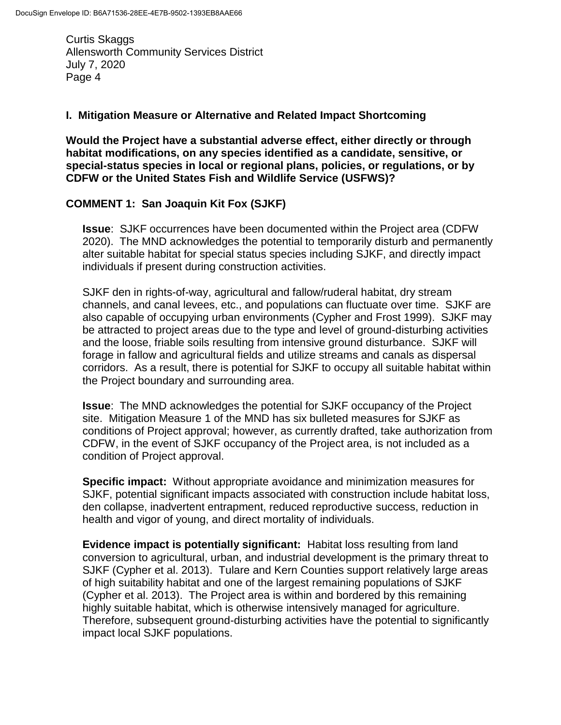#### **I. Mitigation Measure or Alternative and Related Impact Shortcoming**

**Would the Project have a substantial adverse effect, either directly or through habitat modifications, on any species identified as a candidate, sensitive, or special-status species in local or regional plans, policies, or regulations, or by CDFW or the United States Fish and Wildlife Service (USFWS)?**

## **COMMENT 1: San Joaquin Kit Fox (SJKF)**

**Issue**: SJKF occurrences have been documented within the Project area (CDFW 2020). The MND acknowledges the potential to temporarily disturb and permanently alter suitable habitat for special status species including SJKF, and directly impact individuals if present during construction activities.

SJKF den in rights-of-way, agricultural and fallow/ruderal habitat, dry stream channels, and canal levees, etc., and populations can fluctuate over time. SJKF are also capable of occupying urban environments (Cypher and Frost 1999). SJKF may be attracted to project areas due to the type and level of ground-disturbing activities and the loose, friable soils resulting from intensive ground disturbance. SJKF will forage in fallow and agricultural fields and utilize streams and canals as dispersal corridors. As a result, there is potential for SJKF to occupy all suitable habitat within the Project boundary and surrounding area.

**Issue**: The MND acknowledges the potential for SJKF occupancy of the Project site. Mitigation Measure 1 of the MND has six bulleted measures for SJKF as conditions of Project approval; however, as currently drafted, take authorization from CDFW, in the event of SJKF occupancy of the Project area, is not included as a condition of Project approval.

**Specific impact:** Without appropriate avoidance and minimization measures for SJKF, potential significant impacts associated with construction include habitat loss, den collapse, inadvertent entrapment, reduced reproductive success, reduction in health and vigor of young, and direct mortality of individuals.

**Evidence impact is potentially significant:** Habitat loss resulting from land conversion to agricultural, urban, and industrial development is the primary threat to SJKF (Cypher et al. 2013). Tulare and Kern Counties support relatively large areas of high suitability habitat and one of the largest remaining populations of SJKF (Cypher et al. 2013). The Project area is within and bordered by this remaining highly suitable habitat, which is otherwise intensively managed for agriculture. Therefore, subsequent ground-disturbing activities have the potential to significantly impact local SJKF populations.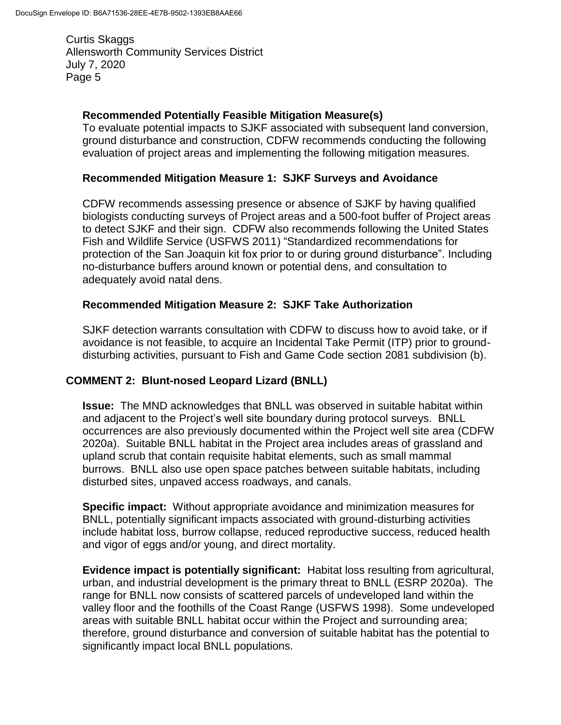## **Recommended Potentially Feasible Mitigation Measure(s)**

To evaluate potential impacts to SJKF associated with subsequent land conversion, ground disturbance and construction, CDFW recommends conducting the following evaluation of project areas and implementing the following mitigation measures.

### **Recommended Mitigation Measure 1: SJKF Surveys and Avoidance**

CDFW recommends assessing presence or absence of SJKF by having qualified biologists conducting surveys of Project areas and a 500-foot buffer of Project areas to detect SJKF and their sign. CDFW also recommends following the United States Fish and Wildlife Service (USFWS 2011) "Standardized recommendations for protection of the San Joaquin kit fox prior to or during ground disturbance". Including no-disturbance buffers around known or potential dens, and consultation to adequately avoid natal dens.

## **Recommended Mitigation Measure 2: SJKF Take Authorization**

SJKF detection warrants consultation with CDFW to discuss how to avoid take, or if avoidance is not feasible, to acquire an Incidental Take Permit (ITP) prior to grounddisturbing activities, pursuant to Fish and Game Code section 2081 subdivision (b).

# **COMMENT 2: Blunt-nosed Leopard Lizard (BNLL)**

**Issue:** The MND acknowledges that BNLL was observed in suitable habitat within and adjacent to the Project's well site boundary during protocol surveys. BNLL occurrences are also previously documented within the Project well site area (CDFW 2020a). Suitable BNLL habitat in the Project area includes areas of grassland and upland scrub that contain requisite habitat elements, such as small mammal burrows. BNLL also use open space patches between suitable habitats, including disturbed sites, unpaved access roadways, and canals.

**Specific impact:** Without appropriate avoidance and minimization measures for BNLL, potentially significant impacts associated with ground-disturbing activities include habitat loss, burrow collapse, reduced reproductive success, reduced health and vigor of eggs and/or young, and direct mortality.

**Evidence impact is potentially significant:** Habitat loss resulting from agricultural, urban, and industrial development is the primary threat to BNLL (ESRP 2020a). The range for BNLL now consists of scattered parcels of undeveloped land within the valley floor and the foothills of the Coast Range (USFWS 1998). Some undeveloped areas with suitable BNLL habitat occur within the Project and surrounding area; therefore, ground disturbance and conversion of suitable habitat has the potential to significantly impact local BNLL populations.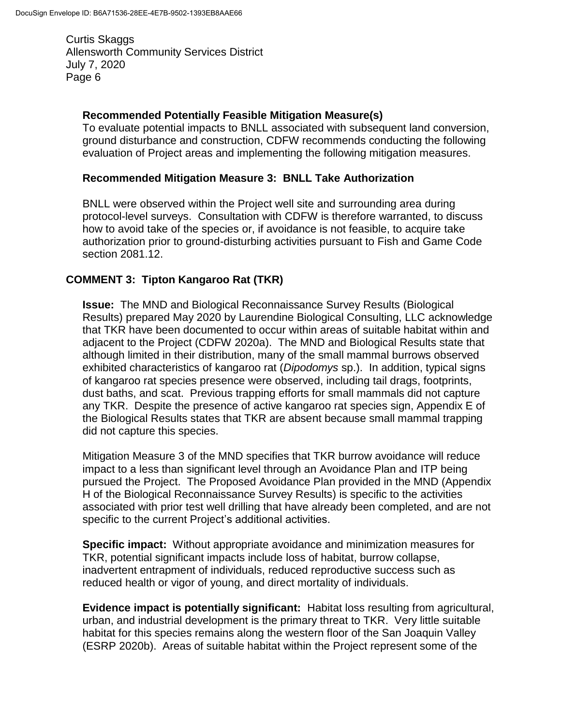## **Recommended Potentially Feasible Mitigation Measure(s)**

To evaluate potential impacts to BNLL associated with subsequent land conversion, ground disturbance and construction, CDFW recommends conducting the following evaluation of Project areas and implementing the following mitigation measures.

#### **Recommended Mitigation Measure 3: BNLL Take Authorization**

BNLL were observed within the Project well site and surrounding area during protocol-level surveys. Consultation with CDFW is therefore warranted, to discuss how to avoid take of the species or, if avoidance is not feasible, to acquire take authorization prior to ground-disturbing activities pursuant to Fish and Game Code section 2081.12.

## **COMMENT 3: Tipton Kangaroo Rat (TKR)**

**Issue:** The MND and Biological Reconnaissance Survey Results (Biological Results) prepared May 2020 by Laurendine Biological Consulting, LLC acknowledge that TKR have been documented to occur within areas of suitable habitat within and adjacent to the Project (CDFW 2020a). The MND and Biological Results state that although limited in their distribution, many of the small mammal burrows observed exhibited characteristics of kangaroo rat (*Dipodomys* sp.). In addition, typical signs of kangaroo rat species presence were observed, including tail drags, footprints, dust baths, and scat. Previous trapping efforts for small mammals did not capture any TKR. Despite the presence of active kangaroo rat species sign, Appendix E of the Biological Results states that TKR are absent because small mammal trapping did not capture this species.

Mitigation Measure 3 of the MND specifies that TKR burrow avoidance will reduce impact to a less than significant level through an Avoidance Plan and ITP being pursued the Project. The Proposed Avoidance Plan provided in the MND (Appendix H of the Biological Reconnaissance Survey Results) is specific to the activities associated with prior test well drilling that have already been completed, and are not specific to the current Project's additional activities.

**Specific impact:** Without appropriate avoidance and minimization measures for TKR, potential significant impacts include loss of habitat, burrow collapse, inadvertent entrapment of individuals, reduced reproductive success such as reduced health or vigor of young, and direct mortality of individuals.

**Evidence impact is potentially significant:** Habitat loss resulting from agricultural, urban, and industrial development is the primary threat to TKR. Very little suitable habitat for this species remains along the western floor of the San Joaquin Valley (ESRP 2020b). Areas of suitable habitat within the Project represent some of the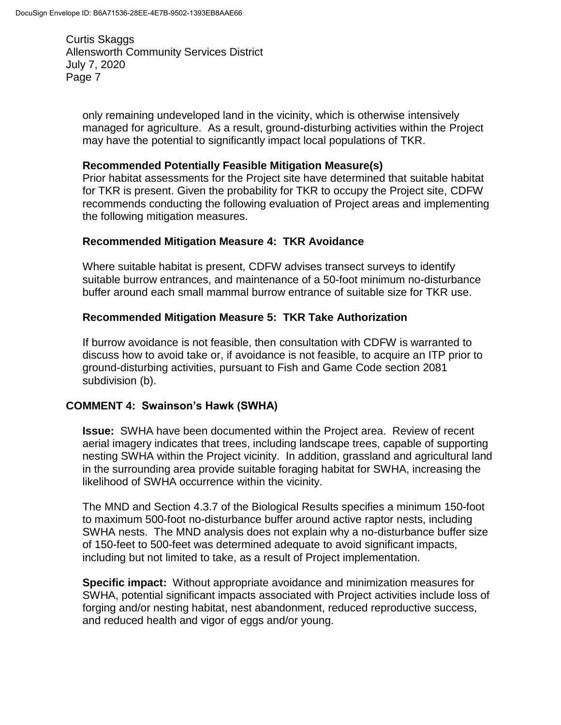only remaining undeveloped land in the vicinity, which is otherwise intensively managed for agriculture. As a result, ground-disturbing activities within the Project may have the potential to significantly impact local populations of TKR.

### **Recommended Potentially Feasible Mitigation Measure(s)**

Prior habitat assessments for the Project site have determined that suitable habitat for TKR is present. Given the probability for TKR to occupy the Project site, CDFW recommends conducting the following evaluation of Project areas and implementing the following mitigation measures.

# **Recommended Mitigation Measure 4: TKR Avoidance**

Where suitable habitat is present, CDFW advises transect surveys to identify suitable burrow entrances, and maintenance of a 50-foot minimum no-disturbance buffer around each small mammal burrow entrance of suitable size for TKR use.

## **Recommended Mitigation Measure 5: TKR Take Authorization**

If burrow avoidance is not feasible, then consultation with CDFW is warranted to discuss how to avoid take or, if avoidance is not feasible, to acquire an ITP prior to ground-disturbing activities, pursuant to Fish and Game Code section 2081 subdivision (b).

#### **COMMENT 4: Swainson's Hawk (SWHA)**

**Issue:** SWHA have been documented within the Project area. Review of recent aerial imagery indicates that trees, including landscape trees, capable of supporting nesting SWHA within the Project vicinity. In addition, grassland and agricultural land in the surrounding area provide suitable foraging habitat for SWHA, increasing the likelihood of SWHA occurrence within the vicinity.

The MND and Section 4.3.7 of the Biological Results specifies a minimum 150-foot to maximum 500-foot no-disturbance buffer around active raptor nests, including SWHA nests. The MND analysis does not explain why a no-disturbance buffer size of 150-feet to 500-feet was determined adequate to avoid significant impacts, including but not limited to take, as a result of Project implementation.

**Specific impact:** Without appropriate avoidance and minimization measures for SWHA, potential significant impacts associated with Project activities include loss of forging and/or nesting habitat, nest abandonment, reduced reproductive success, and reduced health and vigor of eggs and/or young.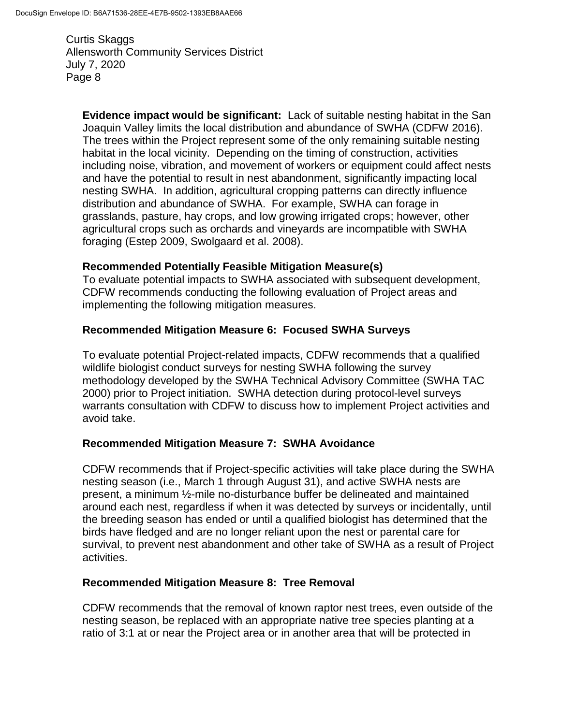**Evidence impact would be significant:** Lack of suitable nesting habitat in the San Joaquin Valley limits the local distribution and abundance of SWHA (CDFW 2016). The trees within the Project represent some of the only remaining suitable nesting habitat in the local vicinity. Depending on the timing of construction, activities including noise, vibration, and movement of workers or equipment could affect nests and have the potential to result in nest abandonment, significantly impacting local nesting SWHA. In addition, agricultural cropping patterns can directly influence distribution and abundance of SWHA. For example, SWHA can forage in grasslands, pasture, hay crops, and low growing irrigated crops; however, other agricultural crops such as orchards and vineyards are incompatible with SWHA foraging (Estep 2009, Swolgaard et al. 2008).

## **Recommended Potentially Feasible Mitigation Measure(s)**

To evaluate potential impacts to SWHA associated with subsequent development, CDFW recommends conducting the following evaluation of Project areas and implementing the following mitigation measures.

## **Recommended Mitigation Measure 6: Focused SWHA Surveys**

To evaluate potential Project-related impacts, CDFW recommends that a qualified wildlife biologist conduct surveys for nesting SWHA following the survey methodology developed by the SWHA Technical Advisory Committee (SWHA TAC 2000) prior to Project initiation. SWHA detection during protocol-level surveys warrants consultation with CDFW to discuss how to implement Project activities and avoid take.

#### **Recommended Mitigation Measure 7: SWHA Avoidance**

CDFW recommends that if Project-specific activities will take place during the SWHA nesting season (i.e., March 1 through August 31), and active SWHA nests are present, a minimum ½-mile no-disturbance buffer be delineated and maintained around each nest, regardless if when it was detected by surveys or incidentally, until the breeding season has ended or until a qualified biologist has determined that the birds have fledged and are no longer reliant upon the nest or parental care for survival, to prevent nest abandonment and other take of SWHA as a result of Project activities.

#### **Recommended Mitigation Measure 8: Tree Removal**

CDFW recommends that the removal of known raptor nest trees, even outside of the nesting season, be replaced with an appropriate native tree species planting at a ratio of 3:1 at or near the Project area or in another area that will be protected in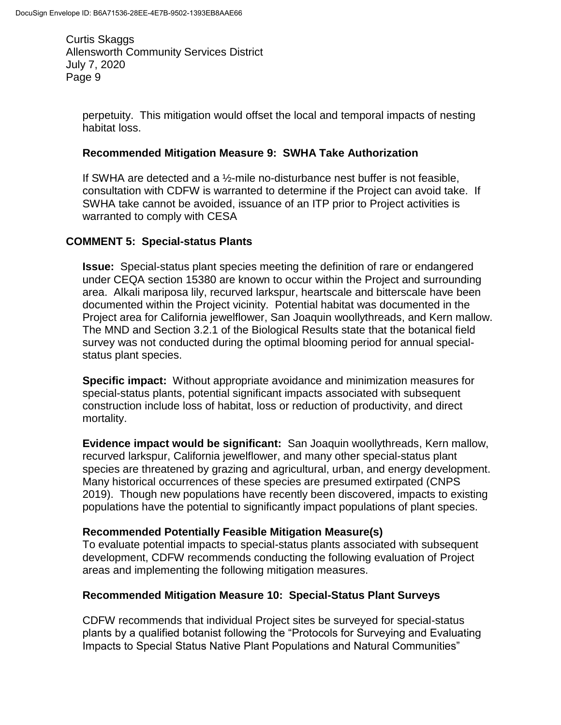perpetuity. This mitigation would offset the local and temporal impacts of nesting habitat loss.

#### **Recommended Mitigation Measure 9: SWHA Take Authorization**

If SWHA are detected and a ½-mile no-disturbance nest buffer is not feasible, consultation with CDFW is warranted to determine if the Project can avoid take. If SWHA take cannot be avoided, issuance of an ITP prior to Project activities is warranted to comply with CESA

#### **COMMENT 5: Special-status Plants**

**Issue:** Special-status plant species meeting the definition of rare or endangered under CEQA section 15380 are known to occur within the Project and surrounding area. Alkali mariposa lily, recurved larkspur, heartscale and bitterscale have been documented within the Project vicinity. Potential habitat was documented in the Project area for California jewelflower, San Joaquin woollythreads, and Kern mallow. The MND and Section 3.2.1 of the Biological Results state that the botanical field survey was not conducted during the optimal blooming period for annual specialstatus plant species.

**Specific impact:** Without appropriate avoidance and minimization measures for special-status plants, potential significant impacts associated with subsequent construction include loss of habitat, loss or reduction of productivity, and direct mortality.

**Evidence impact would be significant:** San Joaquin woollythreads, Kern mallow, recurved larkspur, California jewelflower, and many other special-status plant species are threatened by grazing and agricultural, urban, and energy development. Many historical occurrences of these species are presumed extirpated (CNPS 2019). Though new populations have recently been discovered, impacts to existing populations have the potential to significantly impact populations of plant species.

#### **Recommended Potentially Feasible Mitigation Measure(s)**

To evaluate potential impacts to special-status plants associated with subsequent development, CDFW recommends conducting the following evaluation of Project areas and implementing the following mitigation measures.

#### **Recommended Mitigation Measure 10: Special-Status Plant Surveys**

CDFW recommends that individual Project sites be surveyed for special-status plants by a qualified botanist following the "Protocols for Surveying and Evaluating Impacts to Special Status Native Plant Populations and Natural Communities"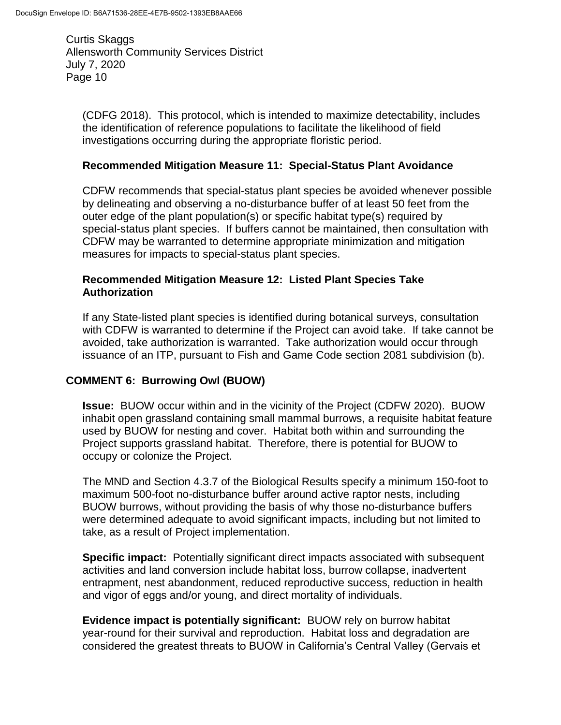(CDFG 2018). This protocol, which is intended to maximize detectability, includes the identification of reference populations to facilitate the likelihood of field investigations occurring during the appropriate floristic period.

#### **Recommended Mitigation Measure 11: Special-Status Plant Avoidance**

CDFW recommends that special-status plant species be avoided whenever possible by delineating and observing a no-disturbance buffer of at least 50 feet from the outer edge of the plant population(s) or specific habitat type(s) required by special-status plant species. If buffers cannot be maintained, then consultation with CDFW may be warranted to determine appropriate minimization and mitigation measures for impacts to special-status plant species.

#### **Recommended Mitigation Measure 12: Listed Plant Species Take Authorization**

If any State-listed plant species is identified during botanical surveys, consultation with CDFW is warranted to determine if the Project can avoid take. If take cannot be avoided, take authorization is warranted. Take authorization would occur through issuance of an ITP, pursuant to Fish and Game Code section 2081 subdivision (b).

#### **COMMENT 6: Burrowing Owl (BUOW)**

**Issue:** BUOW occur within and in the vicinity of the Project (CDFW 2020). BUOW inhabit open grassland containing small mammal burrows, a requisite habitat feature used by BUOW for nesting and cover. Habitat both within and surrounding the Project supports grassland habitat. Therefore, there is potential for BUOW to occupy or colonize the Project.

The MND and Section 4.3.7 of the Biological Results specify a minimum 150-foot to maximum 500-foot no-disturbance buffer around active raptor nests, including BUOW burrows, without providing the basis of why those no-disturbance buffers were determined adequate to avoid significant impacts, including but not limited to take, as a result of Project implementation.

**Specific impact:** Potentially significant direct impacts associated with subsequent activities and land conversion include habitat loss, burrow collapse, inadvertent entrapment, nest abandonment, reduced reproductive success, reduction in health and vigor of eggs and/or young, and direct mortality of individuals.

**Evidence impact is potentially significant:** BUOW rely on burrow habitat year-round for their survival and reproduction. Habitat loss and degradation are considered the greatest threats to BUOW in California's Central Valley (Gervais et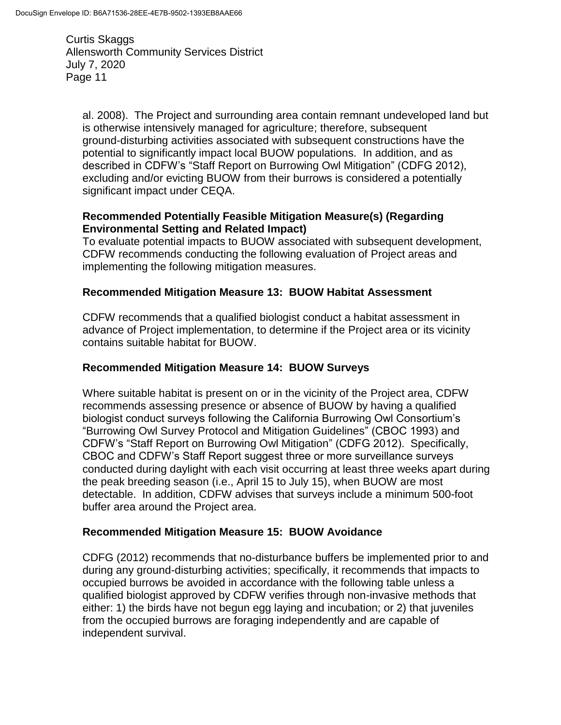al. 2008). The Project and surrounding area contain remnant undeveloped land but is otherwise intensively managed for agriculture; therefore, subsequent ground-disturbing activities associated with subsequent constructions have the potential to significantly impact local BUOW populations. In addition, and as described in CDFW's "Staff Report on Burrowing Owl Mitigation" (CDFG 2012), excluding and/or evicting BUOW from their burrows is considered a potentially significant impact under CEQA.

## **Recommended Potentially Feasible Mitigation Measure(s) (Regarding Environmental Setting and Related Impact)**

To evaluate potential impacts to BUOW associated with subsequent development, CDFW recommends conducting the following evaluation of Project areas and implementing the following mitigation measures.

# **Recommended Mitigation Measure 13: BUOW Habitat Assessment**

CDFW recommends that a qualified biologist conduct a habitat assessment in advance of Project implementation, to determine if the Project area or its vicinity contains suitable habitat for BUOW.

## **Recommended Mitigation Measure 14: BUOW Surveys**

Where suitable habitat is present on or in the vicinity of the Project area, CDFW recommends assessing presence or absence of BUOW by having a qualified biologist conduct surveys following the California Burrowing Owl Consortium's "Burrowing Owl Survey Protocol and Mitigation Guidelines" (CBOC 1993) and CDFW's "Staff Report on Burrowing Owl Mitigation" (CDFG 2012). Specifically, CBOC and CDFW's Staff Report suggest three or more surveillance surveys conducted during daylight with each visit occurring at least three weeks apart during the peak breeding season (i.e., April 15 to July 15), when BUOW are most detectable. In addition, CDFW advises that surveys include a minimum 500-foot buffer area around the Project area.

# **Recommended Mitigation Measure 15: BUOW Avoidance**

CDFG (2012) recommends that no-disturbance buffers be implemented prior to and during any ground-disturbing activities; specifically, it recommends that impacts to occupied burrows be avoided in accordance with the following table unless a qualified biologist approved by CDFW verifies through non-invasive methods that either: 1) the birds have not begun egg laying and incubation; or 2) that juveniles from the occupied burrows are foraging independently and are capable of independent survival.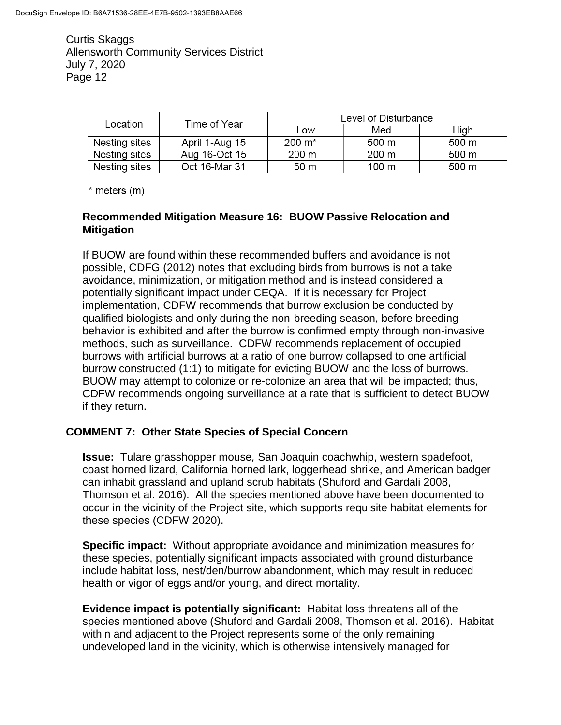| Location      | Time of Year   | Level of Disturbance |       |       |
|---------------|----------------|----------------------|-------|-------|
|               |                | Low                  | Med   | High  |
| Nesting sites | April 1-Aug 15 | $200 \; \text{m}^*$  | 500 m | 500 m |
| Nesting sites | Aug 16-Oct 15  | 200 m                | 200 m | 500 m |
| Nesting sites | Oct 16-Mar 31  | 50 m                 | 100 m | 500 m |

 $*$  meters  $(m)$ 

#### **Recommended Mitigation Measure 16: BUOW Passive Relocation and Mitigation**

If BUOW are found within these recommended buffers and avoidance is not possible, CDFG (2012) notes that excluding birds from burrows is not a take avoidance, minimization, or mitigation method and is instead considered a potentially significant impact under CEQA. If it is necessary for Project implementation, CDFW recommends that burrow exclusion be conducted by qualified biologists and only during the non-breeding season, before breeding behavior is exhibited and after the burrow is confirmed empty through non-invasive methods, such as surveillance. CDFW recommends replacement of occupied burrows with artificial burrows at a ratio of one burrow collapsed to one artificial burrow constructed (1:1) to mitigate for evicting BUOW and the loss of burrows. BUOW may attempt to colonize or re-colonize an area that will be impacted; thus, CDFW recommends ongoing surveillance at a rate that is sufficient to detect BUOW if they return.

#### **COMMENT 7: Other State Species of Special Concern**

**Issue:** Tulare grasshopper mouse*,* San Joaquin coachwhip, western spadefoot, coast horned lizard, California horned lark, loggerhead shrike, and American badger can inhabit grassland and upland scrub habitats (Shuford and Gardali 2008, Thomson et al. 2016). All the species mentioned above have been documented to occur in the vicinity of the Project site, which supports requisite habitat elements for these species (CDFW 2020).

**Specific impact:** Without appropriate avoidance and minimization measures for these species, potentially significant impacts associated with ground disturbance include habitat loss, nest/den/burrow abandonment, which may result in reduced health or vigor of eggs and/or young, and direct mortality.

**Evidence impact is potentially significant:** Habitat loss threatens all of the species mentioned above (Shuford and Gardali 2008, Thomson et al. 2016). Habitat within and adjacent to the Project represents some of the only remaining undeveloped land in the vicinity, which is otherwise intensively managed for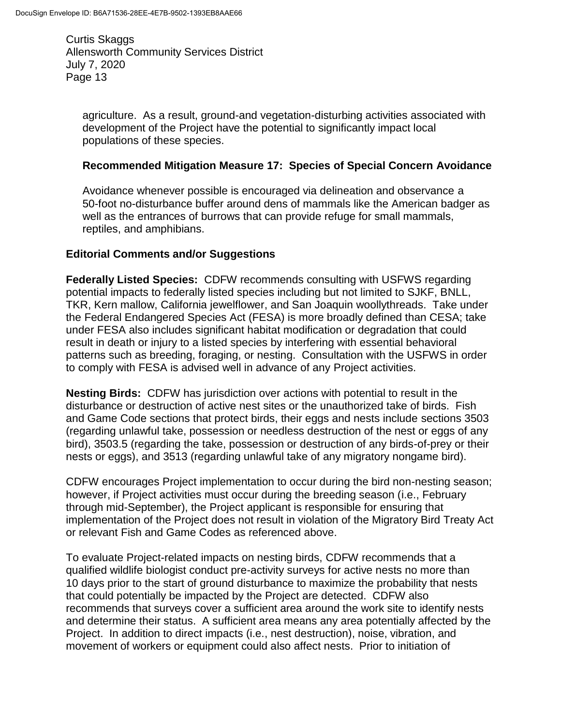agriculture. As a result, ground-and vegetation-disturbing activities associated with development of the Project have the potential to significantly impact local populations of these species.

#### **Recommended Mitigation Measure 17: Species of Special Concern Avoidance**

Avoidance whenever possible is encouraged via delineation and observance a 50-foot no-disturbance buffer around dens of mammals like the American badger as well as the entrances of burrows that can provide refuge for small mammals, reptiles, and amphibians.

#### **Editorial Comments and/or Suggestions**

**Federally Listed Species:** CDFW recommends consulting with USFWS regarding potential impacts to federally listed species including but not limited to SJKF, BNLL, TKR, Kern mallow, California jewelflower, and San Joaquin woollythreads. Take under the Federal Endangered Species Act (FESA) is more broadly defined than CESA; take under FESA also includes significant habitat modification or degradation that could result in death or injury to a listed species by interfering with essential behavioral patterns such as breeding, foraging, or nesting. Consultation with the USFWS in order to comply with FESA is advised well in advance of any Project activities.

**Nesting Birds:** CDFW has jurisdiction over actions with potential to result in the disturbance or destruction of active nest sites or the unauthorized take of birds. Fish and Game Code sections that protect birds, their eggs and nests include sections 3503 (regarding unlawful take, possession or needless destruction of the nest or eggs of any bird), 3503.5 (regarding the take, possession or destruction of any birds-of-prey or their nests or eggs), and 3513 (regarding unlawful take of any migratory nongame bird).

CDFW encourages Project implementation to occur during the bird non-nesting season; however, if Project activities must occur during the breeding season (i.e., February through mid-September), the Project applicant is responsible for ensuring that implementation of the Project does not result in violation of the Migratory Bird Treaty Act or relevant Fish and Game Codes as referenced above.

To evaluate Project-related impacts on nesting birds, CDFW recommends that a qualified wildlife biologist conduct pre-activity surveys for active nests no more than 10 days prior to the start of ground disturbance to maximize the probability that nests that could potentially be impacted by the Project are detected. CDFW also recommends that surveys cover a sufficient area around the work site to identify nests and determine their status. A sufficient area means any area potentially affected by the Project. In addition to direct impacts (i.e., nest destruction), noise, vibration, and movement of workers or equipment could also affect nests. Prior to initiation of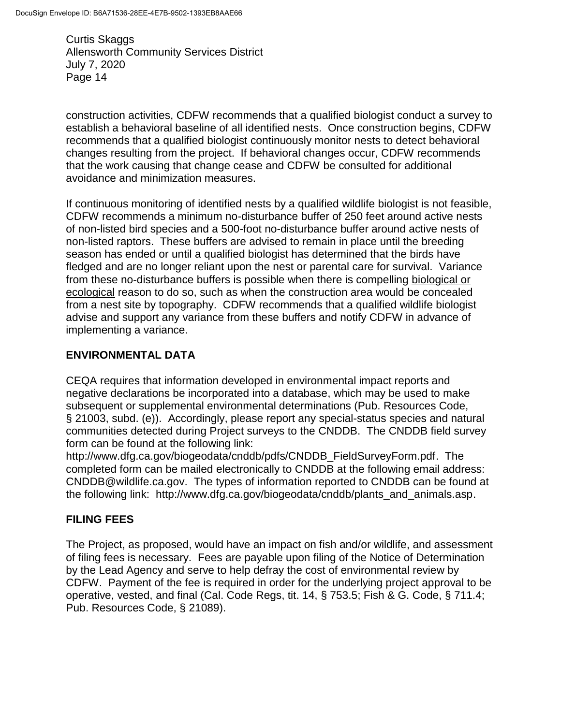construction activities, CDFW recommends that a qualified biologist conduct a survey to establish a behavioral baseline of all identified nests. Once construction begins, CDFW recommends that a qualified biologist continuously monitor nests to detect behavioral changes resulting from the project. If behavioral changes occur, CDFW recommends that the work causing that change cease and CDFW be consulted for additional avoidance and minimization measures.

If continuous monitoring of identified nests by a qualified wildlife biologist is not feasible, CDFW recommends a minimum no-disturbance buffer of 250 feet around active nests of non-listed bird species and a 500-foot no-disturbance buffer around active nests of non-listed raptors. These buffers are advised to remain in place until the breeding season has ended or until a qualified biologist has determined that the birds have fledged and are no longer reliant upon the nest or parental care for survival. Variance from these no-disturbance buffers is possible when there is compelling biological or ecological reason to do so, such as when the construction area would be concealed from a nest site by topography. CDFW recommends that a qualified wildlife biologist advise and support any variance from these buffers and notify CDFW in advance of implementing a variance.

# **ENVIRONMENTAL DATA**

CEQA requires that information developed in environmental impact reports and negative declarations be incorporated into a database, which may be used to make subsequent or supplemental environmental determinations (Pub. Resources Code, § 21003, subd. (e)). Accordingly, please report any special-status species and natural communities detected during Project surveys to the CNDDB. The CNDDB field survey form can be found at the following link:

http://www.dfg.ca.gov/biogeodata/cnddb/pdfs/CNDDB\_FieldSurveyForm.pdf. The completed form can be mailed electronically to CNDDB at the following email address: CNDDB@wildlife.ca.gov. The types of information reported to CNDDB can be found at the following link: http://www.dfg.ca.gov/biogeodata/cnddb/plants\_and\_animals.asp.

# **FILING FEES**

The Project, as proposed, would have an impact on fish and/or wildlife, and assessment of filing fees is necessary. Fees are payable upon filing of the Notice of Determination by the Lead Agency and serve to help defray the cost of environmental review by CDFW. Payment of the fee is required in order for the underlying project approval to be operative, vested, and final (Cal. Code Regs, tit. 14, § 753.5; Fish & G. Code, § 711.4; Pub. Resources Code, § 21089).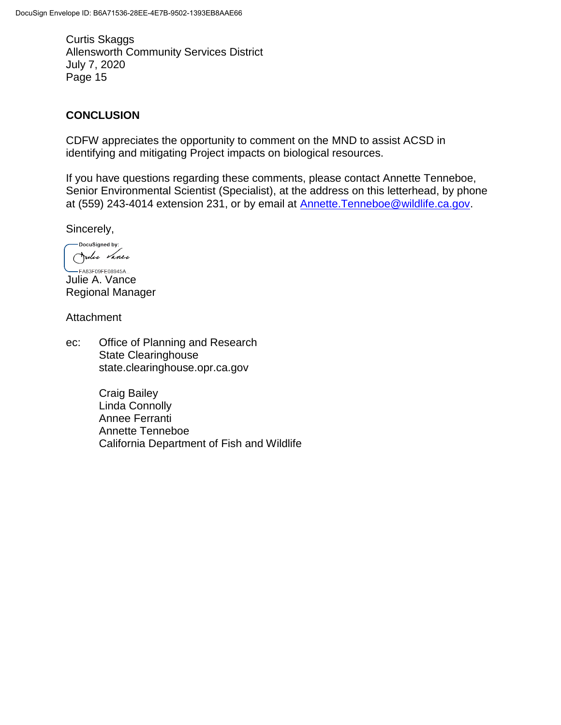# **CONCLUSION**

CDFW appreciates the opportunity to comment on the MND to assist ACSD in identifying and mitigating Project impacts on biological resources.

If you have questions regarding these comments, please contact Annette Tenneboe, Senior Environmental Scientist (Specialist), at the address on this letterhead, by phone at (559) 243-4014 extension 231, or by email at **Annette.Tenneboe@wildlife.ca.gov.** 

Sincerely,

-DocuSigned by: Julie Vance

-FA83F09FE08945A... Julie A. Vance Regional Manager

Attachment

ec: Office of Planning and Research State Clearinghouse state.clearinghouse.opr.ca.gov

> Craig Bailey Linda Connolly Annee Ferranti Annette Tenneboe California Department of Fish and Wildlife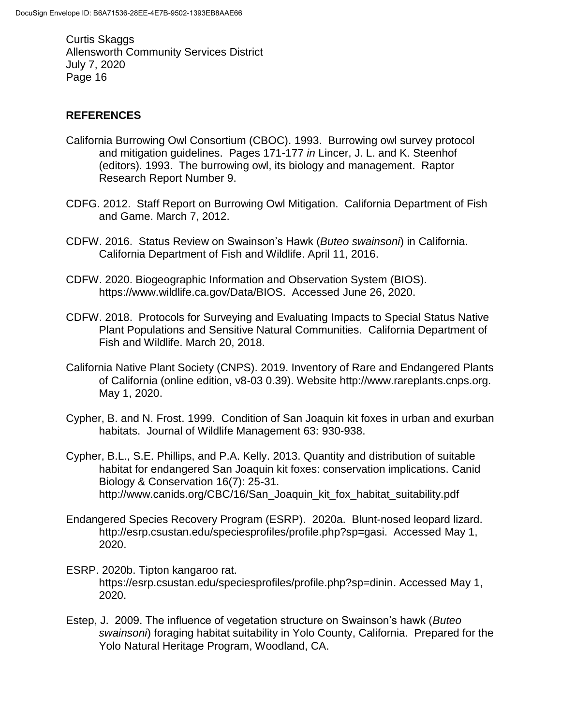### **REFERENCES**

- California Burrowing Owl Consortium (CBOC). 1993. Burrowing owl survey protocol and mitigation guidelines. Pages 171-177 *in* Lincer, J. L. and K. Steenhof (editors). 1993. The burrowing owl, its biology and management. Raptor Research Report Number 9.
- CDFG. 2012. Staff Report on Burrowing Owl Mitigation. California Department of Fish and Game. March 7, 2012.
- CDFW. 2016. Status Review on Swainson's Hawk (*Buteo swainsoni*) in California. California Department of Fish and Wildlife. April 11, 2016.
- CDFW. 2020. Biogeographic Information and Observation System (BIOS). https://www.wildlife.ca.gov/Data/BIOS. Accessed June 26, 2020.
- CDFW. 2018. Protocols for Surveying and Evaluating Impacts to Special Status Native Plant Populations and Sensitive Natural Communities. California Department of Fish and Wildlife. March 20, 2018.
- California Native Plant Society (CNPS). 2019. Inventory of Rare and Endangered Plants of California (online edition, v8-03 0.39). Website http://www.rareplants.cnps.org. May 1, 2020.
- Cypher, B. and N. Frost. 1999. Condition of San Joaquin kit foxes in urban and exurban habitats. Journal of Wildlife Management 63: 930-938.
- Cypher, B.L., S.E. Phillips, and P.A. Kelly. 2013. Quantity and distribution of suitable habitat for endangered San Joaquin kit foxes: conservation implications. Canid Biology & Conservation 16(7): 25-31. http://www.canids.org/CBC/16/San\_Joaquin\_kit\_fox\_habitat\_suitability.pdf
- Endangered Species Recovery Program (ESRP). 2020a. Blunt-nosed leopard lizard. http://esrp.csustan.edu/speciesprofiles/profile.php?sp=gasi. Accessed May 1, 2020.
- ESRP. 2020b. Tipton kangaroo rat. https://esrp.csustan.edu/speciesprofiles/profile.php?sp=dinin. Accessed May 1, 2020.
- Estep, J. 2009. The influence of vegetation structure on Swainson's hawk (*Buteo swainsoni*) foraging habitat suitability in Yolo County, California. Prepared for the Yolo Natural Heritage Program, Woodland, CA.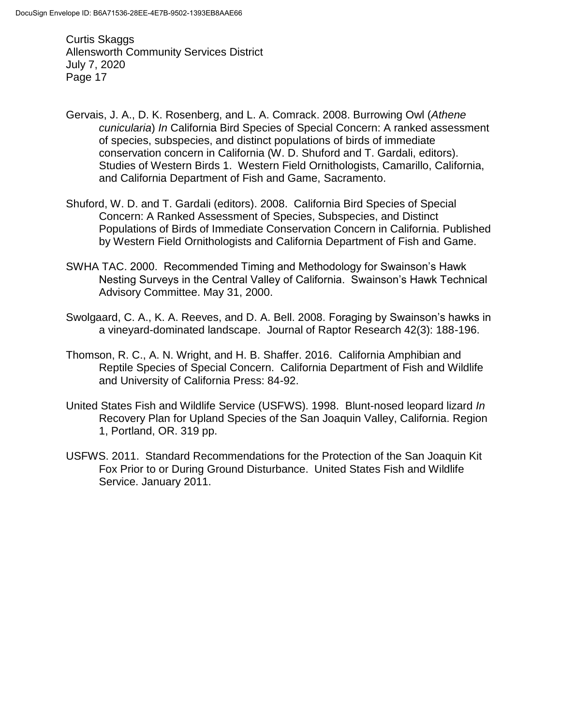- Gervais, J. A., D. K. Rosenberg, and L. A. Comrack. 2008. Burrowing Owl (*Athene cunicularia*) *In* California Bird Species of Special Concern: A ranked assessment of species, subspecies, and distinct populations of birds of immediate conservation concern in California (W. D. Shuford and T. Gardali, editors). Studies of Western Birds 1. Western Field Ornithologists, Camarillo, California, and California Department of Fish and Game, Sacramento.
- Shuford, W. D. and T. Gardali (editors). 2008. California Bird Species of Special Concern: A Ranked Assessment of Species, Subspecies, and Distinct Populations of Birds of Immediate Conservation Concern in California. Published by Western Field Ornithologists and California Department of Fish and Game.
- SWHA TAC. 2000. Recommended Timing and Methodology for Swainson's Hawk Nesting Surveys in the Central Valley of California. Swainson's Hawk Technical Advisory Committee. May 31, 2000.
- Swolgaard, C. A., K. A. Reeves, and D. A. Bell. 2008. Foraging by Swainson's hawks in a vineyard-dominated landscape. Journal of Raptor Research 42(3): 188-196.
- Thomson, R. C., A. N. Wright, and H. B. Shaffer. 2016. California Amphibian and Reptile Species of Special Concern. California Department of Fish and Wildlife and University of California Press: 84-92.
- United States Fish and Wildlife Service (USFWS). 1998. Blunt-nosed leopard lizard *In*  Recovery Plan for Upland Species of the San Joaquin Valley, California. Region 1, Portland, OR. 319 pp.
- USFWS. 2011. Standard Recommendations for the Protection of the San Joaquin Kit Fox Prior to or During Ground Disturbance. United States Fish and Wildlife Service. January 2011.